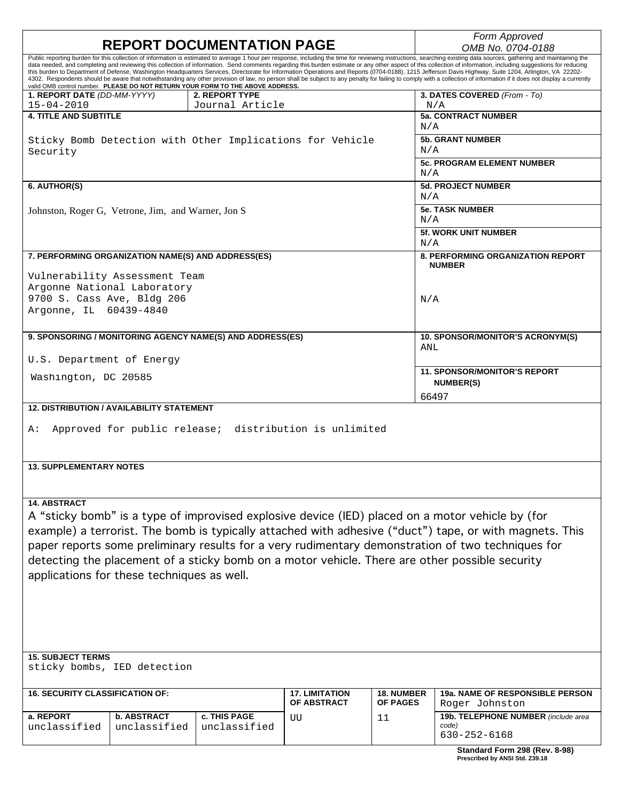| <b>REPORT DOCUMENTATION PAGE</b>                                                                                                                                                                                                                                                                                                                                                                                                                                                        |                                    |                                                                                |                                      |                                      | Form Approved<br>OMB No. 0704-0188                                                                                                                                                                                                                                                                                                                                                                                                                                                                                                                                                                                                                                                                                                                                                                                                                                            |  |
|-----------------------------------------------------------------------------------------------------------------------------------------------------------------------------------------------------------------------------------------------------------------------------------------------------------------------------------------------------------------------------------------------------------------------------------------------------------------------------------------|------------------------------------|--------------------------------------------------------------------------------|--------------------------------------|--------------------------------------|-------------------------------------------------------------------------------------------------------------------------------------------------------------------------------------------------------------------------------------------------------------------------------------------------------------------------------------------------------------------------------------------------------------------------------------------------------------------------------------------------------------------------------------------------------------------------------------------------------------------------------------------------------------------------------------------------------------------------------------------------------------------------------------------------------------------------------------------------------------------------------|--|
|                                                                                                                                                                                                                                                                                                                                                                                                                                                                                         |                                    | valid OMB control number. PLEASE DO NOT RETURN YOUR FORM TO THE ABOVE ADDRESS. |                                      |                                      | Public reporting burden for this collection of information is estimated to average 1 hour per response, including the time for reviewing instructions, searching existing data sources, gathering and maintaining the<br>data needed, and completing and reviewing this collection of information. Send comments regarding this burden estimate or any other aspect of this collection of information, including suggestions for reducing<br>this burden to Department of Defense, Washington Headquarters Services, Directorate for Information Operations and Reports (0704-0188), 1215 Jefferson Davis Highway, Suite 1204, Arlington, VA 22202-<br>4302. Respondents should be aware that notwithstanding any other provision of law, no person shall be subject to any penalty for failing to comply with a collection of information if it does not display a currently |  |
| 1. REPORT DATE (DD-MM-YYYY)<br>$15 - 04 - 2010$                                                                                                                                                                                                                                                                                                                                                                                                                                         |                                    | 2. REPORT TYPE<br>Journal Article                                              |                                      |                                      | 3. DATES COVERED (From - To)<br>N/A                                                                                                                                                                                                                                                                                                                                                                                                                                                                                                                                                                                                                                                                                                                                                                                                                                           |  |
| <b>4. TITLE AND SUBTITLE</b>                                                                                                                                                                                                                                                                                                                                                                                                                                                            |                                    |                                                                                |                                      |                                      | <b>5a. CONTRACT NUMBER</b><br>N/A                                                                                                                                                                                                                                                                                                                                                                                                                                                                                                                                                                                                                                                                                                                                                                                                                                             |  |
| Sticky Bomb Detection with Other Implications for Vehicle<br>Security                                                                                                                                                                                                                                                                                                                                                                                                                   |                                    |                                                                                |                                      |                                      | <b>5b. GRANT NUMBER</b><br>N/A                                                                                                                                                                                                                                                                                                                                                                                                                                                                                                                                                                                                                                                                                                                                                                                                                                                |  |
|                                                                                                                                                                                                                                                                                                                                                                                                                                                                                         |                                    |                                                                                |                                      |                                      | <b>5c. PROGRAM ELEMENT NUMBER</b><br>N/A                                                                                                                                                                                                                                                                                                                                                                                                                                                                                                                                                                                                                                                                                                                                                                                                                                      |  |
| 6. AUTHOR(S)                                                                                                                                                                                                                                                                                                                                                                                                                                                                            |                                    |                                                                                |                                      |                                      | <b>5d. PROJECT NUMBER</b><br>N/A                                                                                                                                                                                                                                                                                                                                                                                                                                                                                                                                                                                                                                                                                                                                                                                                                                              |  |
| Johnston, Roger G, Vetrone, Jim, and Warner, Jon S                                                                                                                                                                                                                                                                                                                                                                                                                                      |                                    |                                                                                |                                      |                                      | <b>5e. TASK NUMBER</b><br>N/A                                                                                                                                                                                                                                                                                                                                                                                                                                                                                                                                                                                                                                                                                                                                                                                                                                                 |  |
|                                                                                                                                                                                                                                                                                                                                                                                                                                                                                         |                                    |                                                                                |                                      |                                      | <b>5f. WORK UNIT NUMBER</b><br>N/A                                                                                                                                                                                                                                                                                                                                                                                                                                                                                                                                                                                                                                                                                                                                                                                                                                            |  |
| 7. PERFORMING ORGANIZATION NAME(S) AND ADDRESS(ES)                                                                                                                                                                                                                                                                                                                                                                                                                                      |                                    |                                                                                |                                      |                                      | <b>8. PERFORMING ORGANIZATION REPORT</b><br><b>NUMBER</b>                                                                                                                                                                                                                                                                                                                                                                                                                                                                                                                                                                                                                                                                                                                                                                                                                     |  |
| Vulnerability Assessment Team                                                                                                                                                                                                                                                                                                                                                                                                                                                           |                                    |                                                                                |                                      |                                      |                                                                                                                                                                                                                                                                                                                                                                                                                                                                                                                                                                                                                                                                                                                                                                                                                                                                               |  |
| Argonne National Laboratory<br>9700 S. Cass Ave, Bldg 206<br>Argonne, IL 60439-4840                                                                                                                                                                                                                                                                                                                                                                                                     |                                    |                                                                                |                                      |                                      | N/A                                                                                                                                                                                                                                                                                                                                                                                                                                                                                                                                                                                                                                                                                                                                                                                                                                                                           |  |
| 9. SPONSORING / MONITORING AGENCY NAME(S) AND ADDRESS(ES)                                                                                                                                                                                                                                                                                                                                                                                                                               |                                    |                                                                                |                                      |                                      | 10. SPONSOR/MONITOR'S ACRONYM(S)<br>ANL                                                                                                                                                                                                                                                                                                                                                                                                                                                                                                                                                                                                                                                                                                                                                                                                                                       |  |
| U.S. Department of Energy                                                                                                                                                                                                                                                                                                                                                                                                                                                               |                                    |                                                                                |                                      | <b>11. SPONSOR/MONITOR'S REPORT</b>  |                                                                                                                                                                                                                                                                                                                                                                                                                                                                                                                                                                                                                                                                                                                                                                                                                                                                               |  |
| Washington, DC 20585                                                                                                                                                                                                                                                                                                                                                                                                                                                                    |                                    |                                                                                |                                      | <b>NUMBER(S)</b><br>66497            |                                                                                                                                                                                                                                                                                                                                                                                                                                                                                                                                                                                                                                                                                                                                                                                                                                                                               |  |
| <b>12. DISTRIBUTION / AVAILABILITY STATEMENT</b>                                                                                                                                                                                                                                                                                                                                                                                                                                        |                                    |                                                                                |                                      |                                      |                                                                                                                                                                                                                                                                                                                                                                                                                                                                                                                                                                                                                                                                                                                                                                                                                                                                               |  |
| Approved for public release; distribution is unlimited<br>A:                                                                                                                                                                                                                                                                                                                                                                                                                            |                                    |                                                                                |                                      |                                      |                                                                                                                                                                                                                                                                                                                                                                                                                                                                                                                                                                                                                                                                                                                                                                                                                                                                               |  |
| <b>13. SUPPLEMENTARY NOTES</b>                                                                                                                                                                                                                                                                                                                                                                                                                                                          |                                    |                                                                                |                                      |                                      |                                                                                                                                                                                                                                                                                                                                                                                                                                                                                                                                                                                                                                                                                                                                                                                                                                                                               |  |
| <b>14. ABSTRACT</b><br>A "sticky bomb" is a type of improvised explosive device (IED) placed on a motor vehicle by (for<br>example) a terrorist. The bomb is typically attached with adhesive ("duct") tape, or with magnets. This<br>paper reports some preliminary results for a very rudimentary demonstration of two techniques for<br>detecting the placement of a sticky bomb on a motor vehicle. There are other possible security<br>applications for these techniques as well. |                                    |                                                                                |                                      |                                      |                                                                                                                                                                                                                                                                                                                                                                                                                                                                                                                                                                                                                                                                                                                                                                                                                                                                               |  |
| <b>15. SUBJECT TERMS</b><br>sticky bombs, IED detection                                                                                                                                                                                                                                                                                                                                                                                                                                 |                                    |                                                                                |                                      |                                      |                                                                                                                                                                                                                                                                                                                                                                                                                                                                                                                                                                                                                                                                                                                                                                                                                                                                               |  |
|                                                                                                                                                                                                                                                                                                                                                                                                                                                                                         |                                    |                                                                                |                                      |                                      |                                                                                                                                                                                                                                                                                                                                                                                                                                                                                                                                                                                                                                                                                                                                                                                                                                                                               |  |
| <b>16. SECURITY CLASSIFICATION OF:</b>                                                                                                                                                                                                                                                                                                                                                                                                                                                  |                                    |                                                                                | <b>17. LIMITATION</b><br>OF ABSTRACT | <b>18. NUMBER</b><br><b>OF PAGES</b> | <b>19a. NAME OF RESPONSIBLE PERSON</b><br>Roger Johnston                                                                                                                                                                                                                                                                                                                                                                                                                                                                                                                                                                                                                                                                                                                                                                                                                      |  |
| a. REPORT<br>unclassified                                                                                                                                                                                                                                                                                                                                                                                                                                                               | <b>b. ABSTRACT</b><br>unclassified | c. THIS PAGE<br>unclassified                                                   | UU                                   | 11                                   | 19b. TELEPHONE NUMBER (include area<br>code)<br>630-252-6168                                                                                                                                                                                                                                                                                                                                                                                                                                                                                                                                                                                                                                                                                                                                                                                                                  |  |
|                                                                                                                                                                                                                                                                                                                                                                                                                                                                                         |                                    |                                                                                |                                      |                                      | Standard Form 298 (Rev. 8-98)                                                                                                                                                                                                                                                                                                                                                                                                                                                                                                                                                                                                                                                                                                                                                                                                                                                 |  |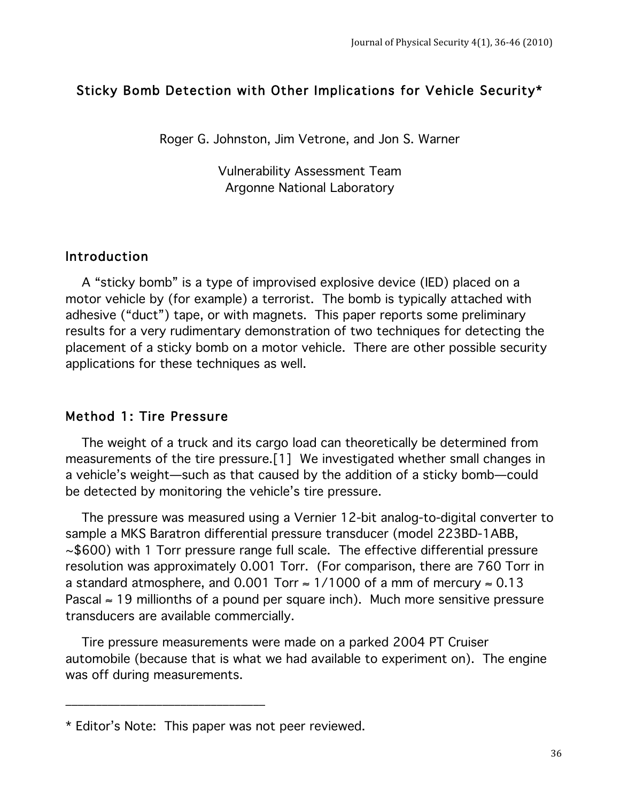### Sticky Bomb Detection with Other Implications for Vehicle Security\*

Roger G. Johnston, Jim Vetrone, and Jon S. Warner

Vulnerability Assessment Team Argonne National Laboratory

#### Introduction

 A "sticky bomb" is a type of improvised explosive device (IED) placed on a motor vehicle by (for example) a terrorist. The bomb is typically attached with adhesive ("duct") tape, or with magnets. This paper reports some preliminary results for a very rudimentary demonstration of two techniques for detecting the placement of a sticky bomb on a motor vehicle. There are other possible security applications for these techniques as well.

#### Method 1: Tire Pressure

 The weight of a truck and its cargo load can theoretically be determined from measurements of the tire pressure.[1] We investigated whether small changes in a vehicle's weight—such as that caused by the addition of a sticky bomb—could be detected by monitoring the vehicle's tire pressure.

 The pressure was measured using a Vernier 12-bit analog-to-digital converter to sample a MKS Baratron differential pressure transducer (model 223BD-1ABB, ~\$600) with 1 Torr pressure range full scale. The effective differential pressure resolution was approximately 0.001 Torr. (For comparison, there are 760 Torr in a standard atmosphere, and 0.001 Torr  $\approx$  1/1000 of a mm of mercury  $\approx$  0.13 Pascal  $\approx$  19 millionths of a pound per square inch). Much more sensitive pressure transducers are available commercially.

 Tire pressure measurements were made on a parked 2004 PT Cruiser automobile (because that is what we had available to experiment on). The engine was off during measurements.

!!!!!!!!!!!!!!!!!!!!!!!!!!!!!!!!!

<sup>\*</sup> Editor's Note: This paper was not peer reviewed.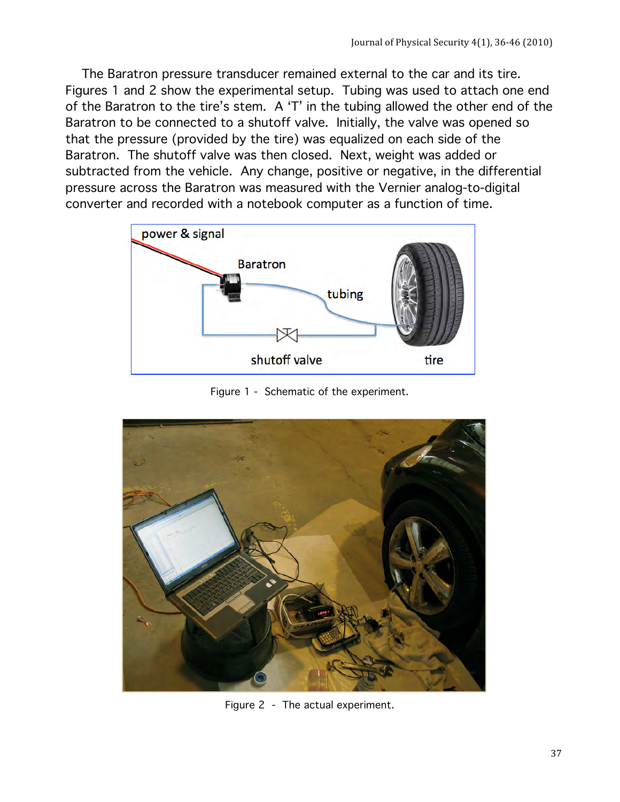The Baratron pressure transducer remained external to the car and its tire. Figures 1 and 2 show the experimental setup. Tubing was used to attach one end of the Baratron to the tire's stem. A 'T' in the tubing allowed the other end of the Baratron to be connected to a shutoff valve. Initially, the valve was opened so that the pressure (provided by the tire) was equalized on each side of the Baratron. The shutoff valve was then closed. Next, weight was added or subtracted from the vehicle. Any change, positive or negative, in the differential pressure across the Baratron was measured with the Vernier analog-to-digital converter and recorded with a notebook computer as a function of time.



Figure 1 - Schematic of the experiment.



Figure 2 - The actual experiment.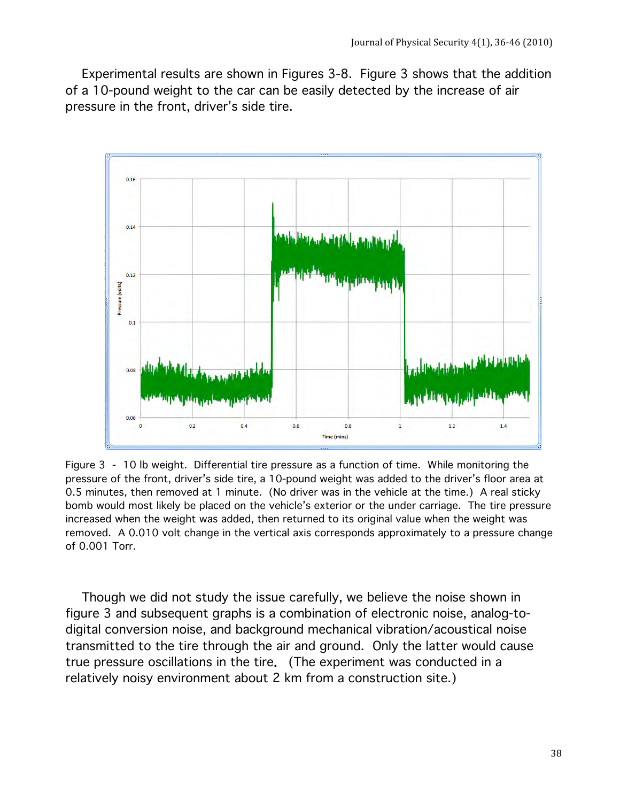Experimental results are shown in Figures 3-8. Figure 3 shows that the addition of a 10-pound weight to the car can be easily detected by the increase of air pressure in the front, driver's side tire.



Figure 3 - 10 lb weight. Differential tire pressure as a function of time. While monitoring the pressure of the front, driver's side tire, a 10-pound weight was added to the driver's floor area at 0.5 minutes, then removed at 1 minute. (No driver was in the vehicle at the time.) A real sticky bomb would most likely be placed on the vehicle's exterior or the under carriage. The tire pressure increased when the weight was added, then returned to its original value when the weight was removed. A 0.010 volt change in the vertical axis corresponds approximately to a pressure change of 0.001 Torr.

 Though we did not study the issue carefully, we believe the noise shown in figure 3 and subsequent graphs is a combination of electronic noise, analog-todigital conversion noise, and background mechanical vibration/acoustical noise transmitted to the tire through the air and ground. Only the latter would cause true pressure oscillations in the tire. (The experiment was conducted in a relatively noisy environment about 2 km from a construction site.)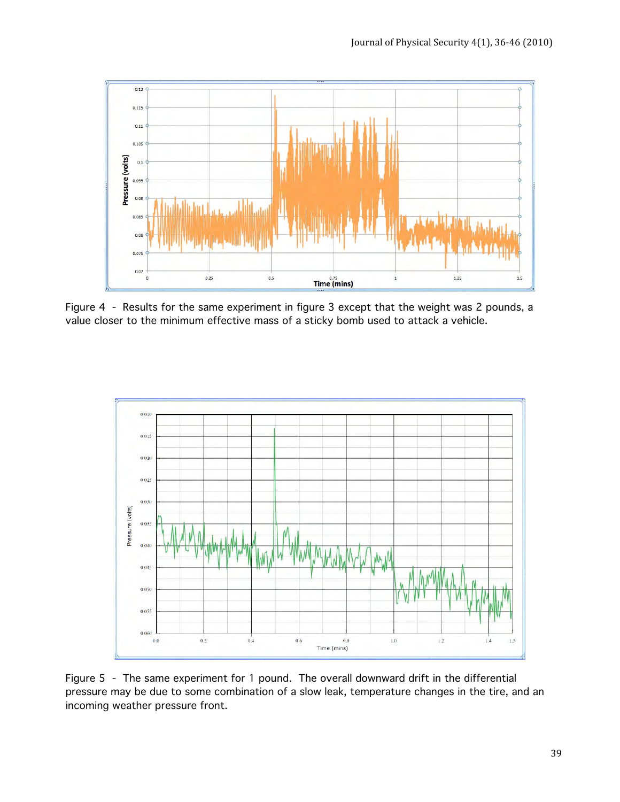

Figure 4 - Results for the same experiment in figure 3 except that the weight was 2 pounds, a value closer to the minimum effective mass of a sticky bomb used to attack a vehicle.



Figure 5 - The same experiment for 1 pound. The overall downward drift in the differential pressure may be due to some combination of a slow leak, temperature changes in the tire, and an incoming weather pressure front.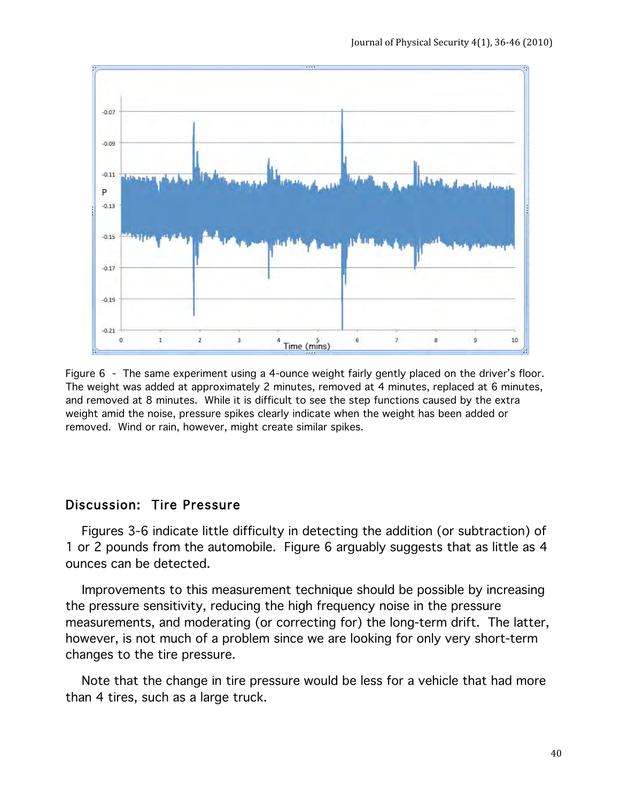

Figure 6 - The same experiment using a 4-ounce weight fairly gently placed on the driver's floor. The weight was added at approximately 2 minutes, removed at 4 minutes, replaced at 6 minutes, and removed at 8 minutes. While it is difficult to see the step functions caused by the extra weight amid the noise, pressure spikes clearly indicate when the weight has been added or removed. Wind or rain, however, might create similar spikes.

## Discussion: Tire Pressure

 Figures 3-6 indicate little difficulty in detecting the addition (or subtraction) of 1 or 2 pounds from the automobile. Figure 6 arguably suggests that as little as 4 ounces can be detected.

 Improvements to this measurement technique should be possible by increasing the pressure sensitivity, reducing the high frequency noise in the pressure measurements, and moderating (or correcting for) the long-term drift. The latter, however, is not much of a problem since we are looking for only very short-term changes to the tire pressure.

 Note that the change in tire pressure would be less for a vehicle that had more than 4 tires, such as a large truck.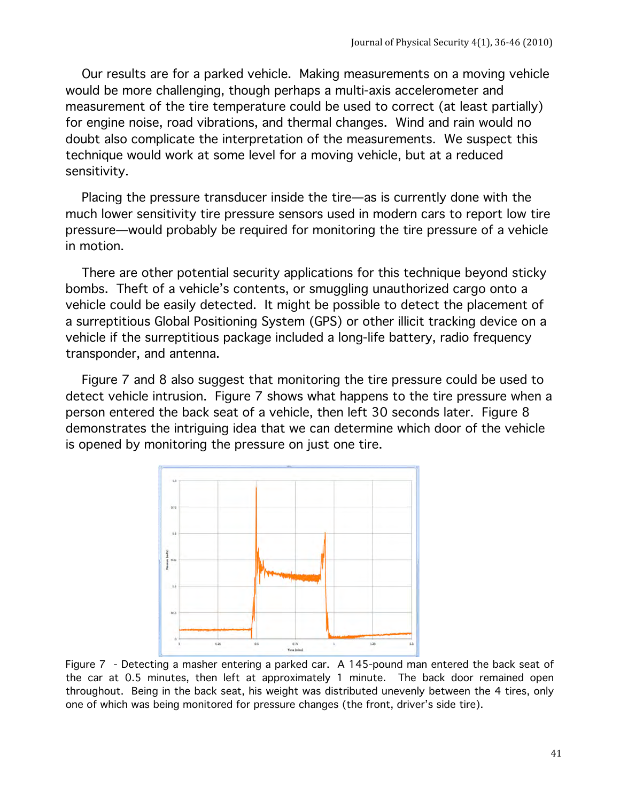Our results are for a parked vehicle. Making measurements on a moving vehicle would be more challenging, though perhaps a multi-axis accelerometer and measurement of the tire temperature could be used to correct (at least partially) for engine noise, road vibrations, and thermal changes. Wind and rain would no doubt also complicate the interpretation of the measurements. We suspect this technique would work at some level for a moving vehicle, but at a reduced sensitivity.

 Placing the pressure transducer inside the tire—as is currently done with the much lower sensitivity tire pressure sensors used in modern cars to report low tire pressure—would probably be required for monitoring the tire pressure of a vehicle in motion.

 There are other potential security applications for this technique beyond sticky bombs. Theft of a vehicle's contents, or smuggling unauthorized cargo onto a vehicle could be easily detected. It might be possible to detect the placement of a surreptitious Global Positioning System (GPS) or other illicit tracking device on a vehicle if the surreptitious package included a long-life battery, radio frequency transponder, and antenna.

 Figure 7 and 8 also suggest that monitoring the tire pressure could be used to detect vehicle intrusion. Figure 7 shows what happens to the tire pressure when a person entered the back seat of a vehicle, then left 30 seconds later. Figure 8 demonstrates the intriguing idea that we can determine which door of the vehicle is opened by monitoring the pressure on just one tire.



Figure 7 - Detecting a masher entering a parked car. A 145-pound man entered the back seat of the car at 0.5 minutes, then left at approximately 1 minute. The back door remained open throughout. Being in the back seat, his weight was distributed unevenly between the 4 tires, only one of which was being monitored for pressure changes (the front, driver's side tire).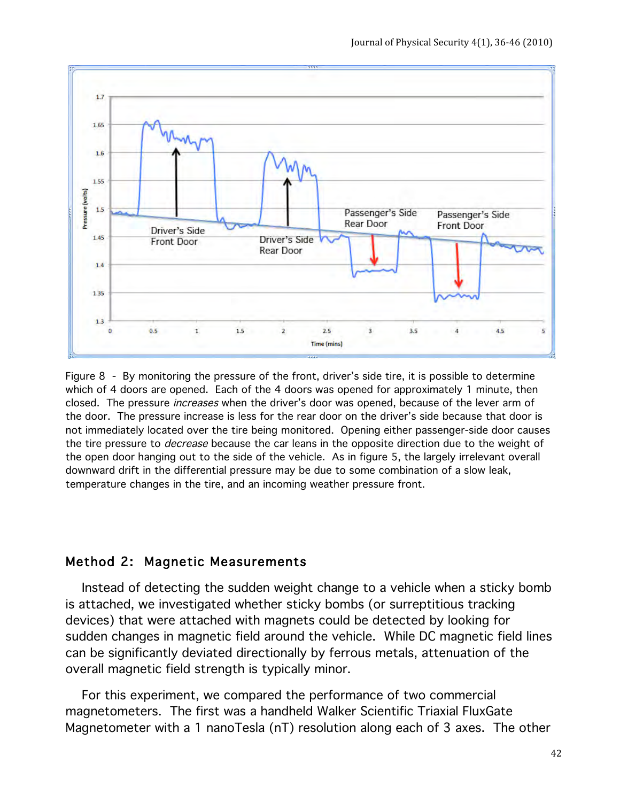

Figure 8 - By monitoring the pressure of the front, driver's side tire, it is possible to determine which of 4 doors are opened. Each of the 4 doors was opened for approximately 1 minute, then closed. The pressure *increases* when the driver's door was opened, because of the lever arm of the door. The pressure increase is less for the rear door on the driver's side because that door is not immediately located over the tire being monitored. Opening either passenger-side door causes the tire pressure to *decrease* because the car leans in the opposite direction due to the weight of the open door hanging out to the side of the vehicle. As in figure 5, the largely irrelevant overall downward drift in the differential pressure may be due to some combination of a slow leak, temperature changes in the tire, and an incoming weather pressure front.

### Method 2: Magnetic Measurements

 Instead of detecting the sudden weight change to a vehicle when a sticky bomb is attached, we investigated whether sticky bombs (or surreptitious tracking devices) that were attached with magnets could be detected by looking for sudden changes in magnetic field around the vehicle. While DC magnetic field lines can be significantly deviated directionally by ferrous metals, attenuation of the overall magnetic field strength is typically minor.

 For this experiment, we compared the performance of two commercial magnetometers. The first was a handheld Walker Scientific Triaxial FluxGate Magnetometer with a 1 nanoTesla (nT) resolution along each of 3 axes. The other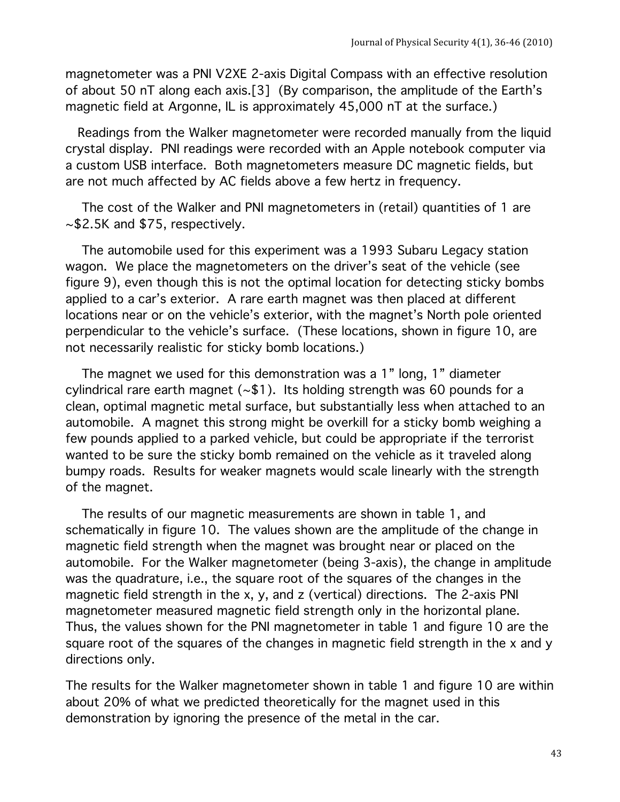magnetometer was a PNI V2XE 2-axis Digital Compass with an effective resolution of about 50 nT along each axis.[3] (By comparison, the amplitude of the Earth's magnetic field at Argonne, IL is approximately 45,000 nT at the surface.)

 Readings from the Walker magnetometer were recorded manually from the liquid crystal display. PNI readings were recorded with an Apple notebook computer via a custom USB interface. Both magnetometers measure DC magnetic fields, but are not much affected by AC fields above a few hertz in frequency.

 The cost of the Walker and PNI magnetometers in (retail) quantities of 1 are ~\$2.5K and \$75, respectively.

 The automobile used for this experiment was a 1993 Subaru Legacy station wagon. We place the magnetometers on the driver's seat of the vehicle (see figure 9), even though this is not the optimal location for detecting sticky bombs applied to a car's exterior. A rare earth magnet was then placed at different locations near or on the vehicle's exterior, with the magnet's North pole oriented perpendicular to the vehicle's surface. (These locations, shown in figure 10, are not necessarily realistic for sticky bomb locations.)

 The magnet we used for this demonstration was a 1" long, 1" diameter cylindrical rare earth magnet  $(-1)$ . Its holding strength was 60 pounds for a clean, optimal magnetic metal surface, but substantially less when attached to an automobile. A magnet this strong might be overkill for a sticky bomb weighing a few pounds applied to a parked vehicle, but could be appropriate if the terrorist wanted to be sure the sticky bomb remained on the vehicle as it traveled along bumpy roads. Results for weaker magnets would scale linearly with the strength of the magnet.

 The results of our magnetic measurements are shown in table 1, and schematically in figure 10. The values shown are the amplitude of the change in magnetic field strength when the magnet was brought near or placed on the automobile. For the Walker magnetometer (being 3-axis), the change in amplitude was the quadrature, i.e., the square root of the squares of the changes in the magnetic field strength in the x, y, and z (vertical) directions. The 2-axis PNI magnetometer measured magnetic field strength only in the horizontal plane. Thus, the values shown for the PNI magnetometer in table 1 and figure 10 are the square root of the squares of the changes in magnetic field strength in the x and y directions only.

The results for the Walker magnetometer shown in table 1 and figure 10 are within about 20% of what we predicted theoretically for the magnet used in this demonstration by ignoring the presence of the metal in the car.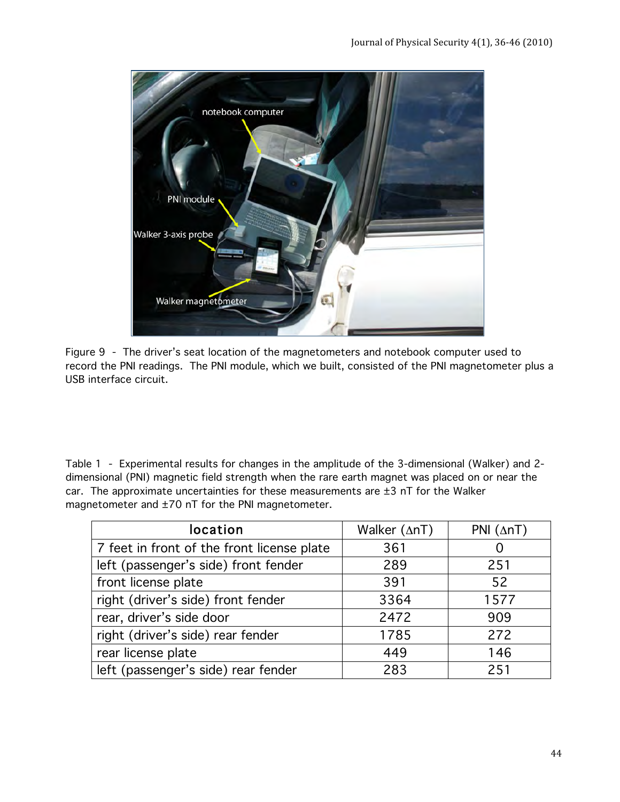

Figure 9 - The driver's seat location of the magnetometers and notebook computer used to record the PNI readings. The PNI module, which we built, consisted of the PNI magnetometer plus a USB interface circuit.

Table 1 - Experimental results for changes in the amplitude of the 3-dimensional (Walker) and 2 dimensional (PNI) magnetic field strength when the rare earth magnet was placed on or near the car. The approximate uncertainties for these measurements are  $\pm 3$  nT for the Walker magnetometer and ±70 nT for the PNI magnetometer.

| location                                   | Walker $(\Delta nT)$ | PNI $(\Delta nT)$ |
|--------------------------------------------|----------------------|-------------------|
| 7 feet in front of the front license plate | 361                  |                   |
| left (passenger's side) front fender       | 289                  | 251               |
| front license plate                        | 391                  | 52                |
| right (driver's side) front fender         | 3364                 | 1577              |
| rear, driver's side door                   | 2472                 | 909               |
| right (driver's side) rear fender          | 1785                 | 272               |
| rear license plate                         | 449                  | 146               |
| left (passenger's side) rear fender        | 283                  | 251               |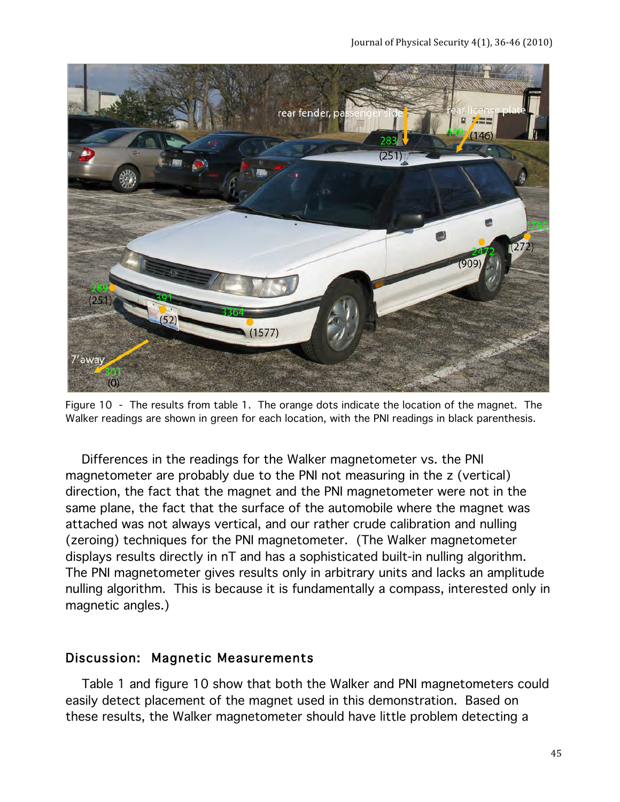

Figure 10 - The results from table 1. The orange dots indicate the location of the magnet. The Walker readings are shown in green for each location, with the PNI readings in black parenthesis.

 Differences in the readings for the Walker magnetometer vs. the PNI magnetometer are probably due to the PNI not measuring in the z (vertical) direction, the fact that the magnet and the PNI magnetometer were not in the same plane, the fact that the surface of the automobile where the magnet was attached was not always vertical, and our rather crude calibration and nulling (zeroing) techniques for the PNI magnetometer. (The Walker magnetometer displays results directly in nT and has a sophisticated built-in nulling algorithm. The PNI magnetometer gives results only in arbitrary units and lacks an amplitude nulling algorithm. This is because it is fundamentally a compass, interested only in magnetic angles.)

### Discussion: Magnetic Measurements

 Table 1 and figure 10 show that both the Walker and PNI magnetometers could easily detect placement of the magnet used in this demonstration. Based on these results, the Walker magnetometer should have little problem detecting a